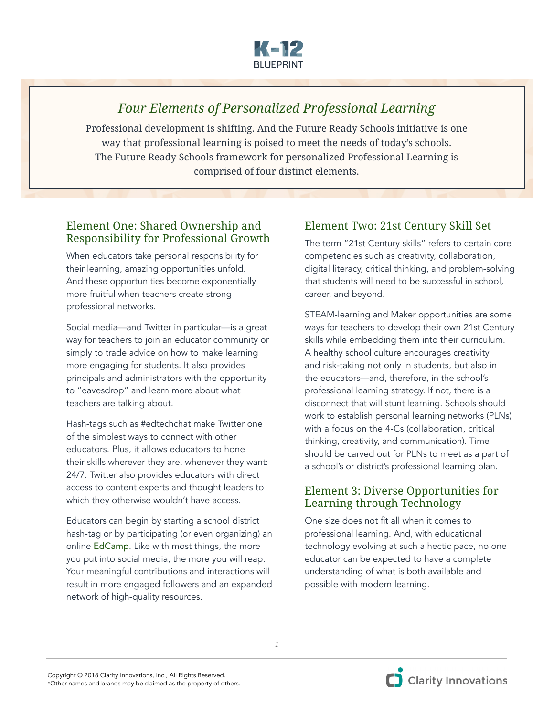

# *Four Elements of Personalized Professional Learning*

Professional development is shifting. And the Future Ready Schools initiative is one way that professional learning is poised to meet the needs of today's schools. The Future Ready Schools framework for personalized Professional Learning is comprised of four distinct elements.

### Element One: Shared Ownership and Responsibility for Professional Growth

When educators take personal responsibility for their learning, amazing opportunities unfold. And these opportunities become exponentially more fruitful when teachers create strong professional networks.

Social media—and Twitter in particular—is a great way for teachers to join an educator community or simply to trade advice on how to make learning more engaging for students. It also provides principals and administrators with the opportunity to "eavesdrop" and learn more about what teachers are talking about.

Hash-tags such as #edtechchat make Twitter one of the simplest ways to connect with other educators. Plus, it allows educators to hone their skills wherever they are, whenever they want: 24/7. Twitter also provides educators with direct access to content experts and thought leaders to which they otherwise wouldn't have access.

Educators can begin by starting a school district hash-tag or by participating (or even organizing) an online [EdCamp](https://www.edcamp.org/). Like with most things, the more you put into social media, the more you will reap. Your meaningful contributions and interactions will result in more engaged followers and an expanded network of high-quality resources.

## Element Two: 21st Century Skill Set

The term "21st Century skills" refers to certain core competencies such as creativity, collaboration, digital literacy, critical thinking, and problem-solving that students will need to be successful in school, career, and beyond.

STEAM-learning and Maker opportunities are some ways for teachers to develop their own 21st Century skills while embedding them into their curriculum. A healthy school culture encourages creativity and risk-taking not only in students, but also in the educators—and, therefore, in the school's professional learning strategy. If not, there is a disconnect that will stunt learning. Schools should work to establish personal learning networks (PLNs) with a focus on the 4-Cs (collaboration, critical thinking, creativity, and communication). Time should be carved out for PLNs to meet as a part of a school's or district's professional learning plan.

#### Element 3: Diverse Opportunities for Learning through Technology

One size does not fit all when it comes to professional learning. And, with educational technology evolving at such a hectic pace, no one educator can be expected to have a complete understanding of what is both available and possible with modern learning.